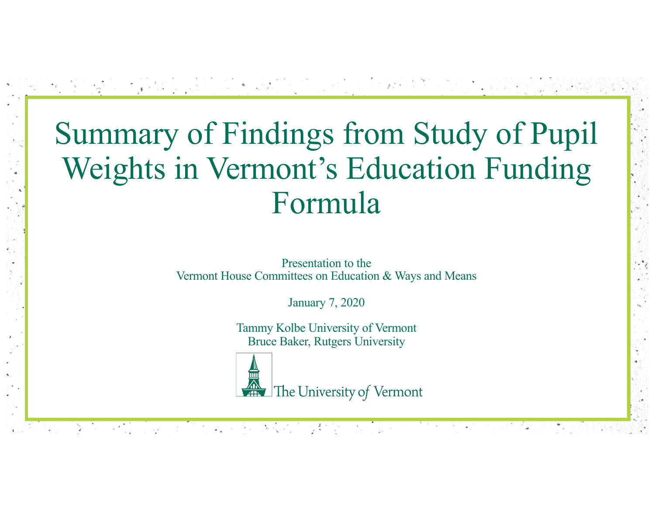# Summary of Findings from Study of Pupil Weights in Vermont's Education Funding Formula

Presentation to the Vermont House Committees on Education & Ways and Means

January 7, 2020

Tammy Kolbe University of Vermont Bruce Baker, Rutgers University



화일은 화도 지도 않는다. 그 사람이 부사로 하는 것은 없어 두 마음이다.

The University of Vermont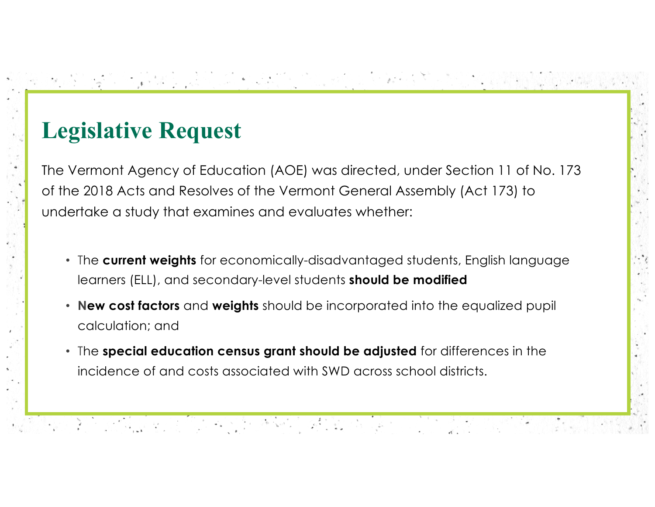# **Legislative Request**

The Vermont Agency of Education (AOE) was directed, under Section 11 of No. 173 of the 2018 Acts and Resolves of the Vermont General Assembly (Act 173) to undertake a study that examines and evaluates whether:

그는 누가 잘 먹었는데요. 그는 그는 그만 없어 있어? 그녀는 그

- The **current weights** for economically-disadvantaged students, English language learners (ELL), and secondary-level students **should be modified**
- **New cost factors** and **weights** should be incorporated into the equalized pupil calculation; and
- The **special education census grant should be adjusted** for differences in the incidence of and costs associated with SWD across school districts.

1992년 2019년 1월 1일 연주 전화를 대한 정치 조선 100% 대한 지원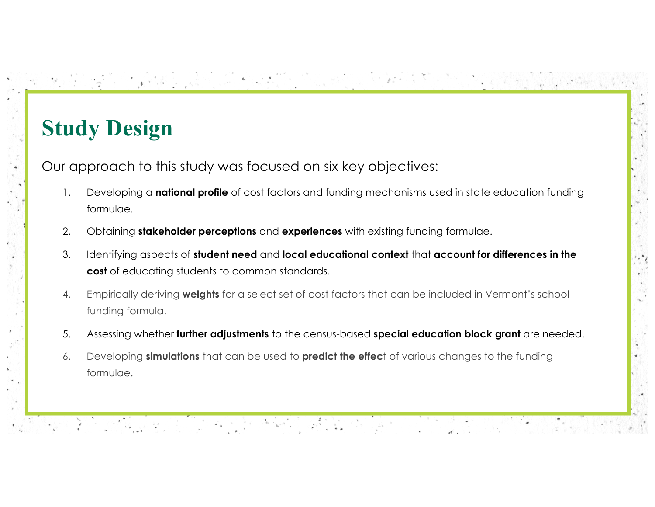# **Study Design**

Our approach to this study was focused on six key objectives:

2) [2] 그렇게 아이들이 아까지 아니라 아이가 아니라 아이들이 있어

1. Developing a **national profile** of cost factors and funding mechanisms used in state education funding formulae.

[1] 누는 그 거, 그러지, 그 그 그 가게 없어. 사이가 아주 있

- 2. Obtaining **stakeholder perceptions** and **experiences** with existing funding formulae.
- 3. Identifying aspects of **student need** and **local educational context** that **account for differences in the cost** of educating students to common standards.
- 4. Empirically deriving **weights** for a select set of cost factors that can be included in Vermont's school funding formula.
- 5. Assessing whether **further adjustments** to the census-based **special education block grant** are needed.
- 6. Developing **simulations** that can be used to **predict the effec**t of various changes to the funding formulae.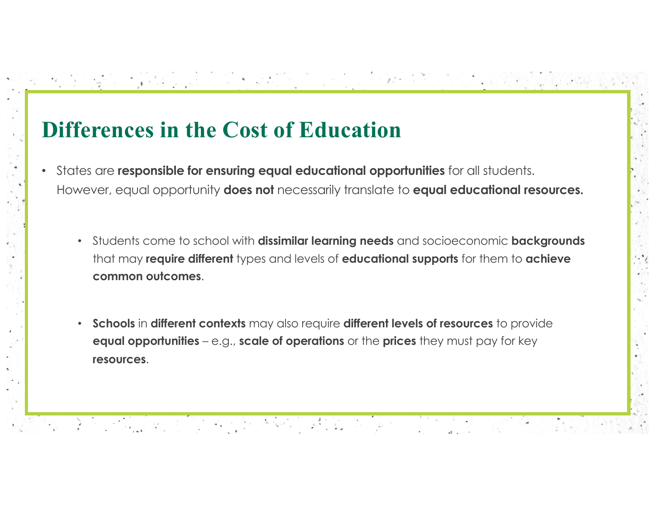# **Differences in the Cost of Education**

화장 잘 보였다. 나는 기자 시에 대장에 오라가 되나요?

- States are **responsible for ensuring equal educational opportunities** for all students. However, equal opportunity **does not** necessarily translate to **equal educational resources.**
	- Students come to school with **dissimilar learning needs** and socioeconomic **backgrounds**  that may **require different** types and levels of **educational supports** for them to **achieve common outcomes**.

2016년 1월 1일 1월 1일 1월 1일 1월 1일 1월 1일 1월 1일<br>대한민국의 대한민국의 대한민국의 대한민국의 대한민국의 대한민국의 대한민국의 대한민국의 대한민국의 대한민국의 대한민국의 대한민국의 대한민국의 대한민국의 대한민국의 대한민국의 대한민국의 대한민국의 대

• **Schools** in **different contexts** may also require **different levels of resources** to provide **equal opportunities** – e.g., **scale of operations** or the **prices** they must pay for key **resources**.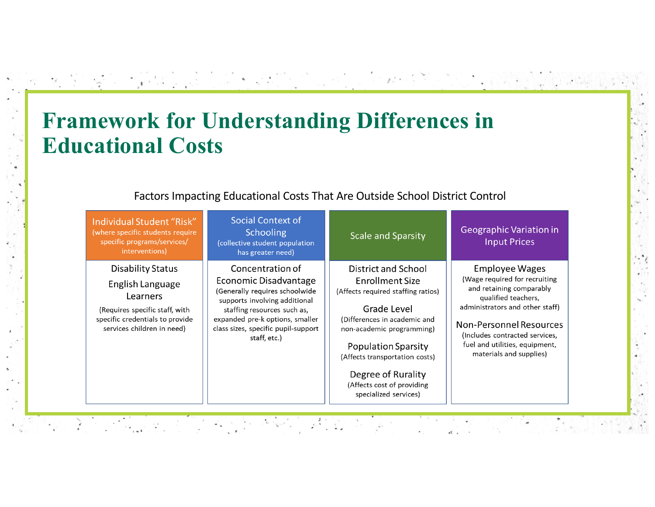# **Framework for Understanding Differences in Educational Costs**

a Politica con

| Factors Impacting Educational Costs That Are Outside School District Control |  |
|------------------------------------------------------------------------------|--|
|                                                                              |  |

**The County of the County of the County of** 

| Individual Student "Risk"<br>(where specific students require<br>specific programs/services/<br>interventions)                                              | Social Context of<br><b>Schooling</b><br>(collective student population<br>has greater need)                                                                                                                                          | <b>Scale and Sparsity</b>                                                                                                                                                                                                                                                                                    | Geographic Variation in<br><b>Input Prices</b>                                                                                                                                                                                                                                |
|-------------------------------------------------------------------------------------------------------------------------------------------------------------|---------------------------------------------------------------------------------------------------------------------------------------------------------------------------------------------------------------------------------------|--------------------------------------------------------------------------------------------------------------------------------------------------------------------------------------------------------------------------------------------------------------------------------------------------------------|-------------------------------------------------------------------------------------------------------------------------------------------------------------------------------------------------------------------------------------------------------------------------------|
| <b>Disability Status</b><br>English Language<br>Learners<br>(Requires specific staff, with<br>specific credentials to provide<br>services children in need) | Concentration of<br>Economic Disadvantage<br>(Generally requires schoolwide<br>supports involving additional<br>staffing resources such as,<br>expanded pre-k options, smaller<br>class sizes, specific pupil-support<br>staff, etc.) | District and School<br>Enrollment Size<br>(Affects required staffing ratios)<br><b>Grade Level</b><br>(Differences in academic and<br>non-academic programming)<br><b>Population Sparsity</b><br>(Affects transportation costs)<br>Degree of Rurality<br>(Affects cost of providing<br>specialized services) | <b>Employee Wages</b><br>(Wage required for recruiting<br>and retaining comparably<br>qualified teachers,<br>administrators and other staff)<br><b>Non-Personnel Resources</b><br>(Includes contracted services,<br>fuel and utilities, equipment,<br>materials and supplies) |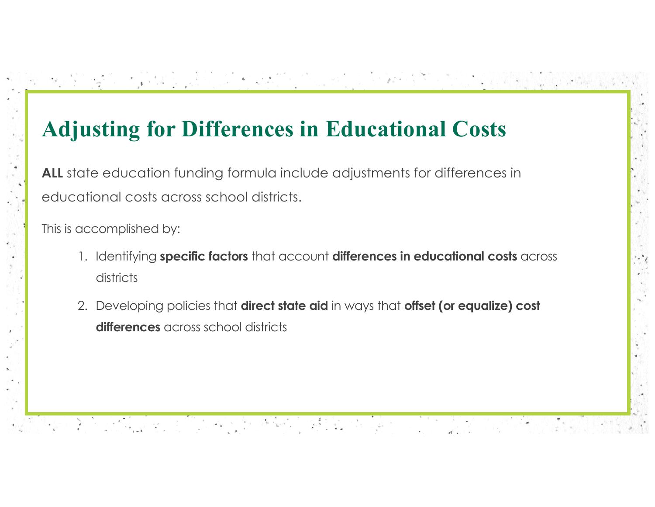# **Adjusting for Differences in Educational Costs**

 $\mathbf{A} = \begin{bmatrix} \mathbf{A} \\ \mathbf{A} \end{bmatrix}$ 

화장 전 가장 사람들은 연기 시간이 생각히 오른 회사는 사람이다.

**ALL** state education funding formula include adjustments for differences in educational costs across school districts.

This is accomplished by:

1. Identifying **specific factors** that account **differences in educational costs** across districts

2. Developing policies that **direct state aid** in ways that **offset (or equalize) cost differences** across school districts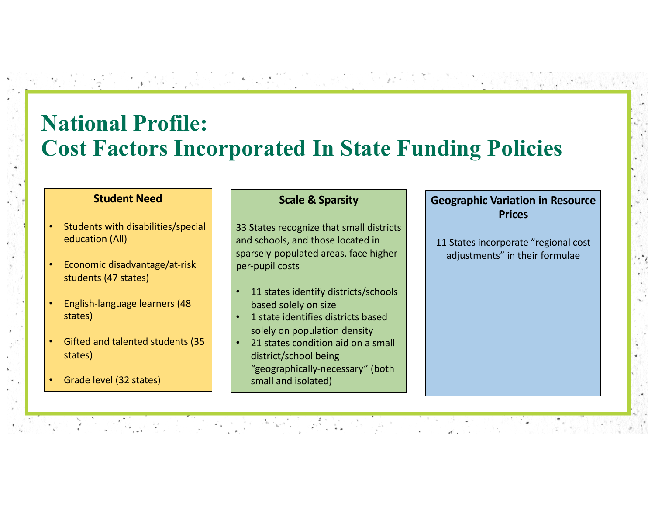# **National Profile: Cost Factors Incorporated In State Funding Policies**

#### **Student Need**

- Students with disabilities/special education (All)
- Economic disadvantage/at-risk students (47 states)
- English-language learners (48 states)
- Gifted and talented students (35 states)

• Grade level (32 states)

#### **Scale & Sparsity**

33 States recognize that small districts and schools, and those located in sparsely-populated areas, face higher per-pupil costs

- 11 states identify districts/schools based solely on size
- 1 state identifies districts based solely on population density
- 21 states condition aid on a small district/school being "geographically-necessary" (both small and isolated)

#### **Geographic Variation in Resource Prices**

11 States incorporate "regional cost adjustments" in their formulae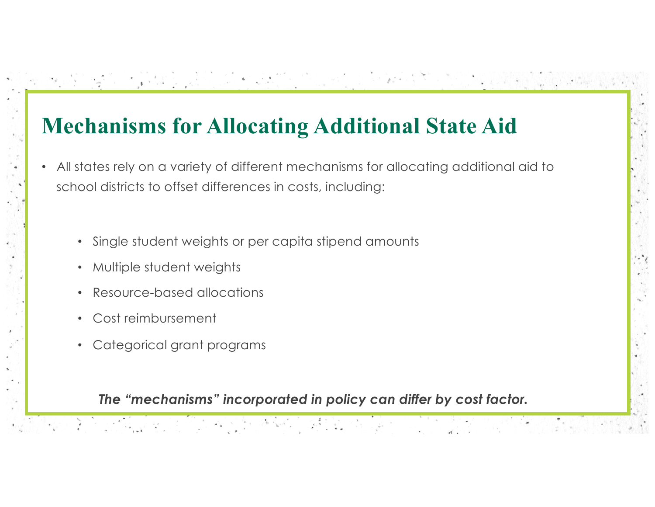# **Mechanisms for Allocating Additional State Aid**

• All states rely on a variety of different mechanisms for allocating additional aid to school districts to offset differences in costs, including:

THE R. P. LEWIS CO., LANSING MICH.

- Single student weights or per capita stipend amounts
- Multiple student weights
- Resource-based allocations
- Cost reimbursement
- Categorical grant programs

[2] 그 사회, 오늘 1, 인터넷 (SHA) (2014년)

#### *The "mechanisms" incorporated in policy can differ by cost factor.*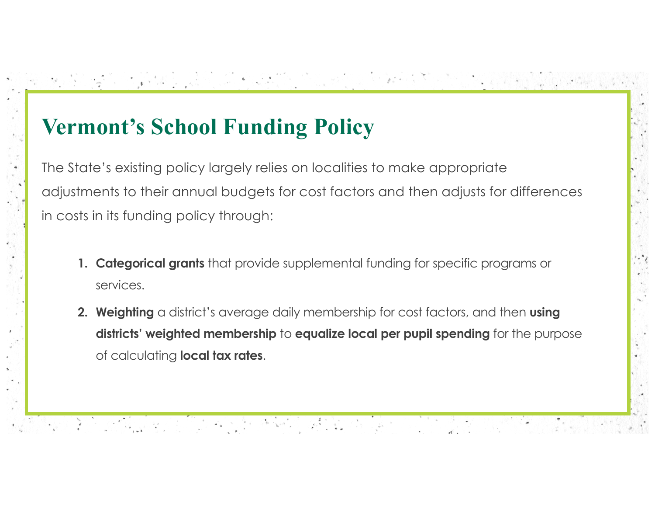# **Vermont's School Funding Policy**

화장 잘 보였다. 일을 인기는 이 오늘에 오리와 되나요?

The State's existing policy largely relies on localities to make appropriate adjustments to their annual budgets for cost factors and then adjusts for differences in costs in its funding policy through:

[이 누가 아이들이 있는 그 소개를 이 사이라면서요 !!]

- **1. Categorical grants** that provide supplemental funding for specific programs or services.
- **2. Weighting** a district's average daily membership for cost factors, and then **using districts' weighted membership** to **equalize local per pupil spending** for the purpose of calculating **local tax rates**.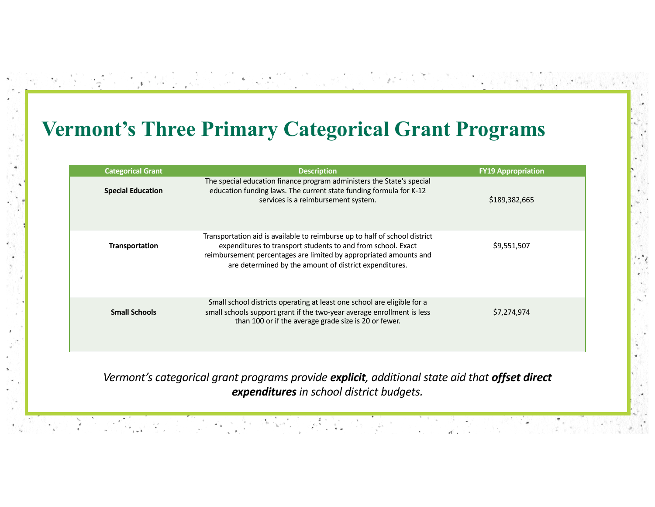#### **Vermont's Three Primary Categorical Grant Programs**

| <b>Categorical Grant</b> | <b>Description</b>                                                                                                                                                                                                                                                        | <b>FY19 Appropriation</b> |
|--------------------------|---------------------------------------------------------------------------------------------------------------------------------------------------------------------------------------------------------------------------------------------------------------------------|---------------------------|
| <b>Special Education</b> | The special education finance program administers the State's special<br>education funding laws. The current state funding formula for K-12<br>services is a reimbursement system.                                                                                        | \$189,382,665             |
| <b>Transportation</b>    | Transportation aid is available to reimburse up to half of school district<br>expenditures to transport students to and from school. Exact<br>reimbursement percentages are limited by appropriated amounts and<br>are determined by the amount of district expenditures. | \$9,551,507               |
| <b>Small Schools</b>     | Small school districts operating at least one school are eligible for a<br>small schools support grant if the two-year average enrollment is less<br>than 100 or if the average grade size is 20 or fewer.                                                                | \$7,274,974               |
|                          |                                                                                                                                                                                                                                                                           |                           |

 $\sim$ 

*Vermont's categorical grant programs provide explicit, additional state aid that offset direct expenditures in school district budgets.*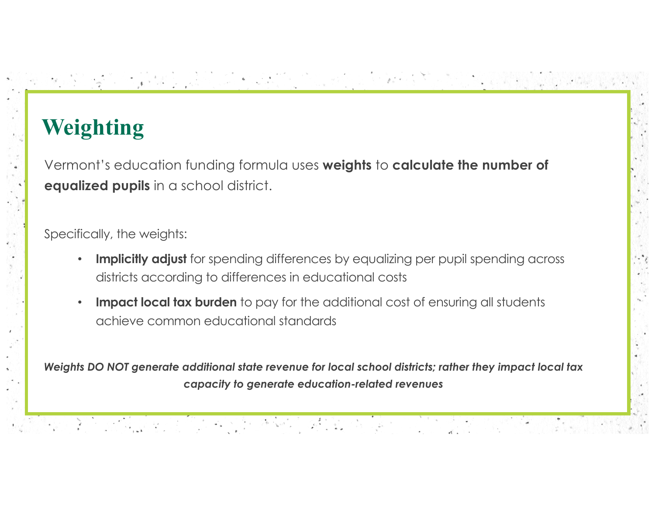# **Weighting**

Vermont's education funding formula uses **weights** to **calculate the number of equalized pupils** in a school district.

Specifically, the weights:

**Implicitly adjust** for spending differences by equalizing per pupil spending across districts according to differences in educational costs

그 그는 그 거니까 있는 그는 일에 있었어요? 소문

**Impact local tax burden** to pay for the additional cost of ensuring all students achieve common educational standards

*Weights DO NOT generate additional state revenue for local school districts; rather they impact local tax capacity to generate education-related revenues*

화장 잘 보였습니다. 그 인터넷 대표 사이 오늘 가지를 했다.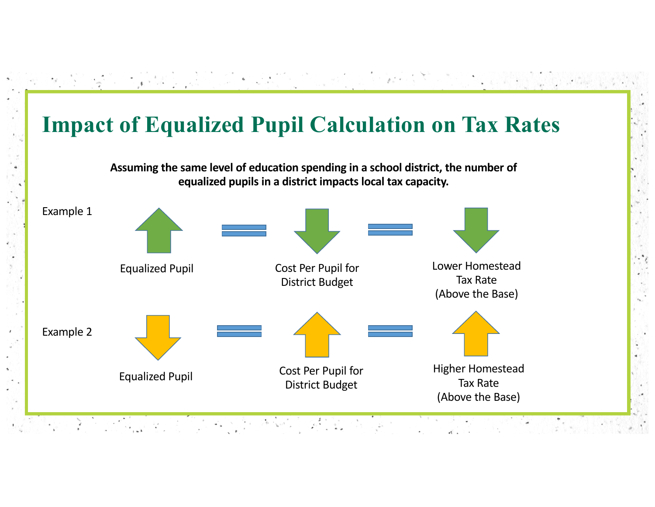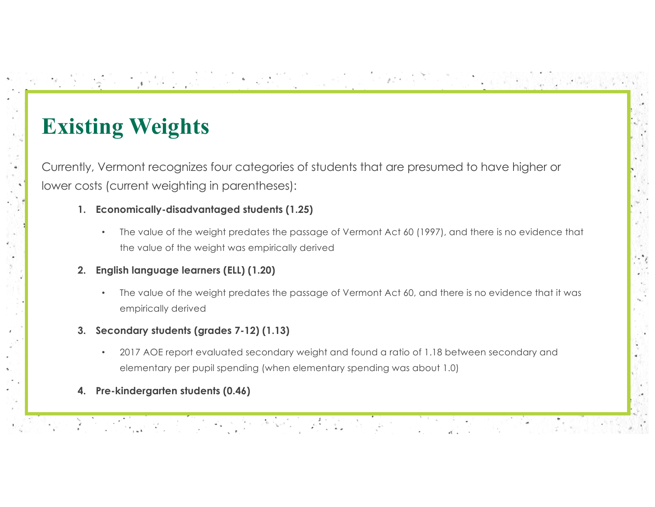# **Existing Weights**

Currently, Vermont recognizes four categories of students that are presumed to have higher or lower costs (current weighting in parentheses):

- **1. Economically-disadvantaged students (1.25)**
	- The value of the weight predates the passage of Vermont Act 60 (1997), and there is no evidence that the value of the weight was empirically derived

[이 2019] 2019 - 1019 - 1019 1019 1019 1019 1019

- **2. English language learners (ELL) (1.20)**
	- The value of the weight predates the passage of Vermont Act 60, and there is no evidence that it was empirically derived
- **3. Secondary students (grades 7-12) (1.13)**

- 2017 AOE report evaluated secondary weight and found a ratio of 1.18 between secondary and elementary per pupil spending (when elementary spending was about 1.0)
- **4. Pre-kindergarten students (0.46)**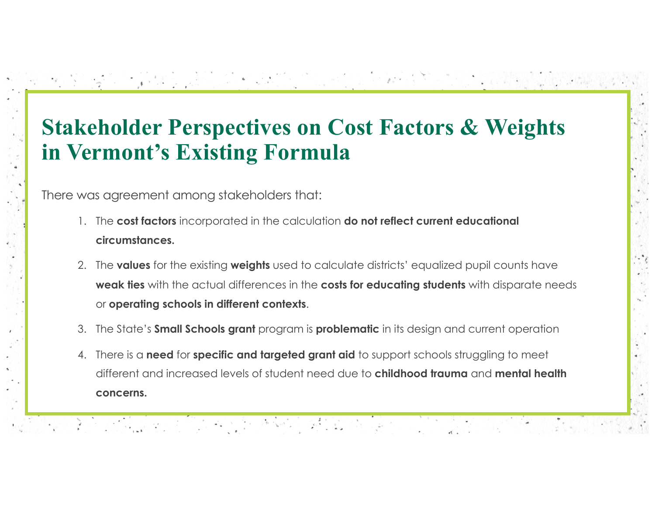## **Stakeholder Perspectives on Cost Factors & Weights in Vermont's Existing Formula**

There was agreement among stakeholders that:

1992년 2월 20일 1월 20일 12월 20일 12월 20일 12월 20일<br>1992년 - 1992년 1992년 1월 20일 12월 12일 12월 12일 12월 12일

- 1. The **cost factors** incorporated in the calculation **do not reflect current educational circumstances.**
- 2. The **values** for the existing **weights** used to calculate districts' equalized pupil counts have **weak ties** with the actual differences in the **costs for educating students** with disparate needs or **operating schools in different contexts**.
- 3. The State's **Small Schools grant** program is **problematic** in its design and current operation
- 4. There is a **need** for **specific and targeted grant aid** to support schools struggling to meet different and increased levels of student need due to **childhood trauma** and **mental health concerns.**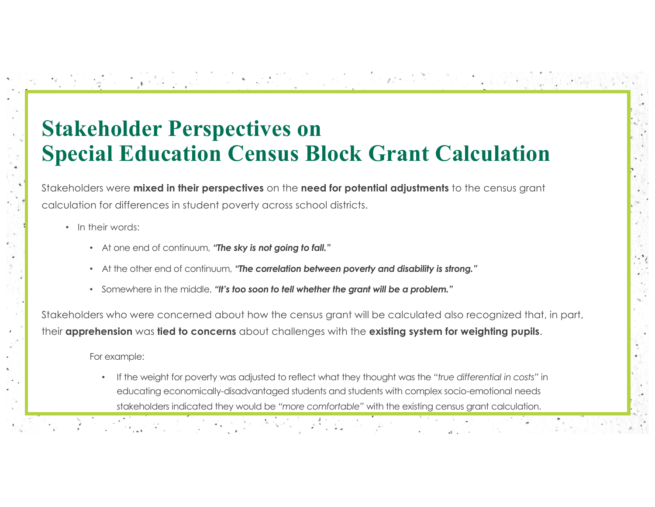# **Stakeholder Perspectives on Special Education Census Block Grant Calculation**

Stakeholders were **mixed in their perspectives** on the **need for potential adjustments** to the census grant calculation for differences in student poverty across school districts.

- In their words:
	- At one end of continuum, *"The sky is not going to fall."*
	- At the other end of continuum, *"The correlation between poverty and disability is strong."*
	- Somewhere in the middle, *"It's too soon to tell whether the grant will be a problem."*

Stakeholders who were concerned about how the census grant will be calculated also recognized that, in part, their **apprehension** was **tied to concerns** about challenges with the **existing system for weighting pupils**.

For example:

• If the weight for poverty was adjusted to reflect what they thought was the *"true differential in costs"* in educating economically-disadvantaged students and students with complex socio-emotional needs stakeholders indicated they would be *"more comfortable"* with the existing census grant calculation.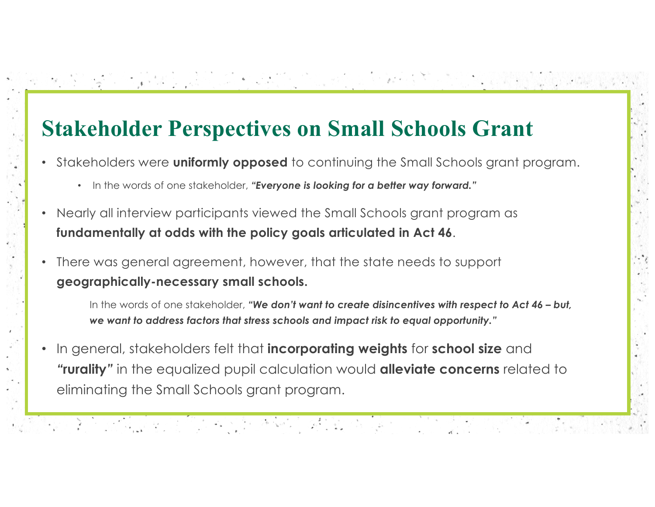# **Stakeholder Perspectives on Small Schools Grant**

- Stakeholders were **uniformly opposed** to continuing the Small Schools grant program.
	- In the words of one stakeholder, *"Everyone is looking for a better way forward."*
- Nearly all interview participants viewed the Small Schools grant program as **fundamentally at odds with the policy goals articulated in Act 46**.
- There was general agreement, however, that the state needs to support **geographically-necessary small schools.**

1992년 2월 12일 1월 1일 - 인기 - 인기 - 호텔 제작 - 호텔 1월 2일 10월 1

In the words of one stakeholder, *"We don't want to create disincentives with respect to Act 46 – but, we want to address factors that stress schools and impact risk to equal opportunity."* 

• In general, stakeholders felt that **incorporating weights** for **school size** and *"***rurality***"* in the equalized pupil calculation would **alleviate concerns** related to eliminating the Small Schools grant program.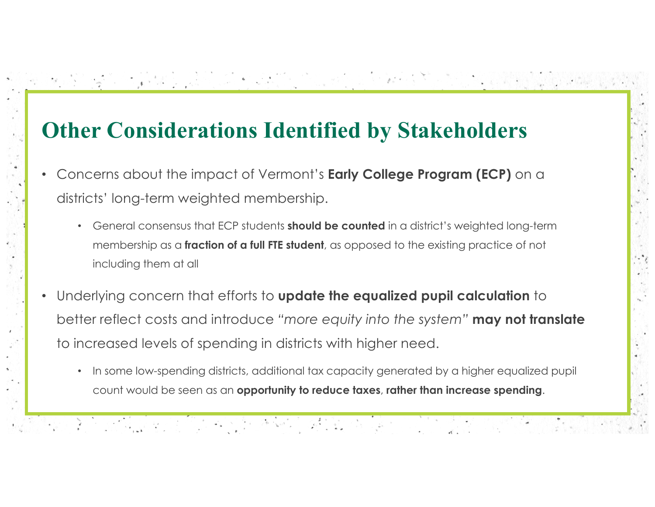# **Other Considerations Identified by Stakeholders**

- Concerns about the impact of Vermont's **Early College Program (ECP)** on a districts' long-term weighted membership.
	- General consensus that ECP students **should be counted** in a district's weighted long-term membership as a **fraction of a full FTE student**, as opposed to the existing practice of not including them at all
- Underlying concern that efforts to **update the equalized pupil calculation** to better reflect costs and introduce *"more equity into the system"* **may not translate**  to increased levels of spending in districts with higher need.

• In some low-spending districts, additional tax capacity generated by a higher equalized pupil count would be seen as an **opportunity to reduce taxes**, **rather than increase spending**.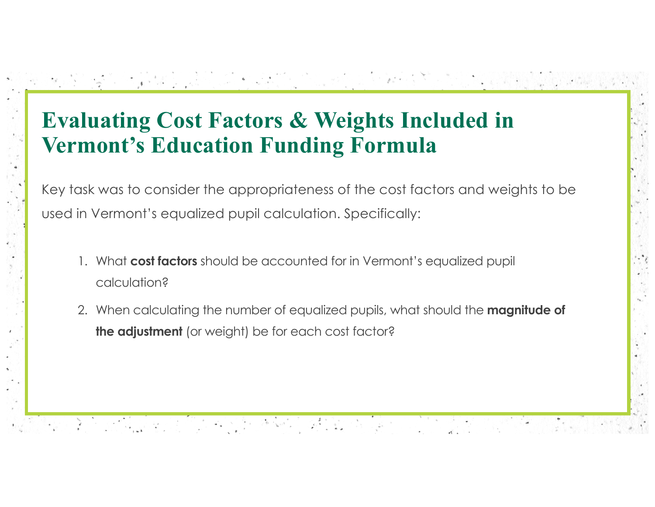# **Evaluating Cost Factors & Weights Included in Vermont's Education Funding Formula**

Key task was to consider the appropriateness of the cost factors and weights to be used in Vermont's equalized pupil calculation. Specifically:

**TOO TAT THE SECOND PLANTIFICATION** 

1. What **cost factors** should be accounted for in Vermont's equalized pupil calculation?

1932년 2월 22일 12월 22일 12월 12일 12월 12일 12월 12일 12월

2. When calculating the number of equalized pupils, what should the **magnitude of the adjustment** (or weight) be for each cost factor?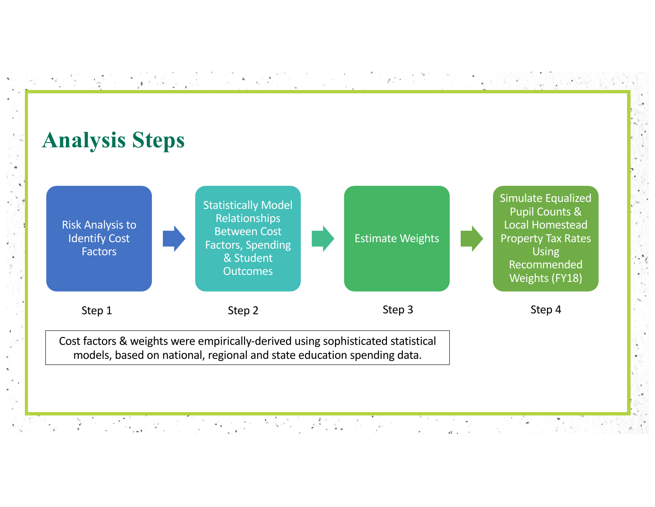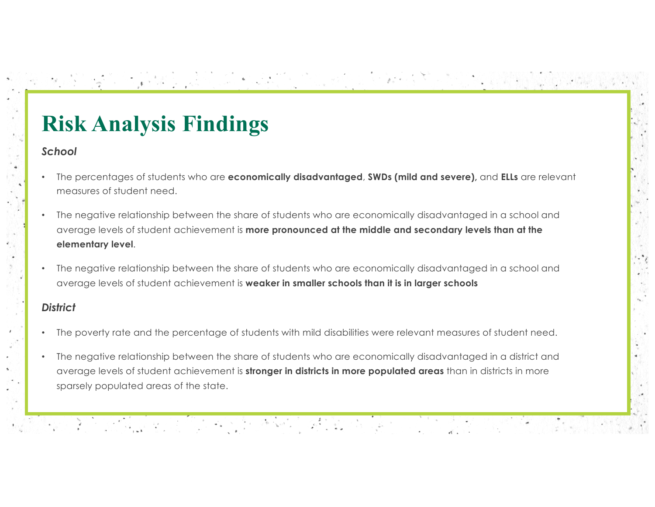# **Risk Analysis Findings**

#### *School*

• The percentages of students who are **economically disadvantaged**, **SWDs (mild and severe),** and **ELLs** are relevant measures of student need.

- Paul 1999년 1월 1일 전화 경찰은 관계로

- The negative relationship between the share of students who are economically disadvantaged in a school and average levels of student achievement is **more pronounced at the middle and secondary levels than at the elementary level**.
- The negative relationship between the share of students who are economically disadvantaged in a school and average levels of student achievement is **weaker in smaller schools than it is in larger schools**

#### *District*

- The poverty rate and the percentage of students with mild disabilities were relevant measures of student need.
- The negative relationship between the share of students who are economically disadvantaged in a district and average levels of student achievement is **stronger in districts in more populated areas** than in districts in more sparsely populated areas of the state.

2) 2012년 10월 11일 (1948년 1월 1일 1월 1일 1월 1일 1월 1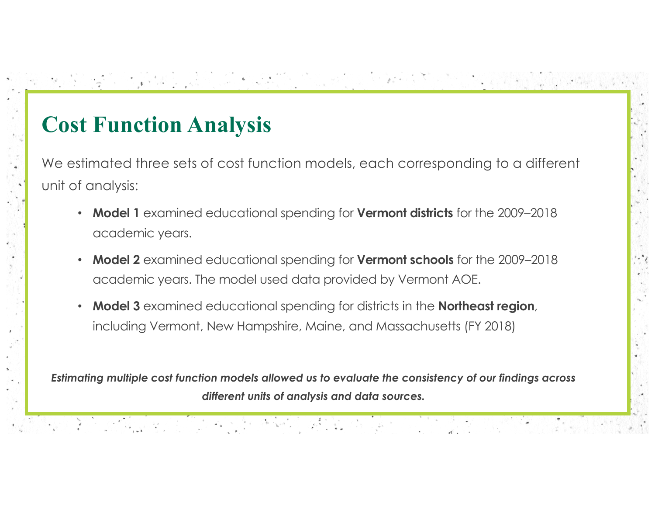# **Cost Function Analysis**

We estimated three sets of cost function models, each corresponding to a different unit of analysis:

1 2019년 전 12 Mail 12 Louis 11월 21일 10월 12월 12

- **Model 1** examined educational spending for **Vermont districts** for the 2009–2018 academic years.
- **Model 2** examined educational spending for **Vermont schools** for the 2009–2018 academic years. The model used data provided by Vermont AOE.
- **Model 3** examined educational spending for districts in the **Northeast region**, including Vermont, New Hampshire, Maine, and Massachusetts (FY 2018)

*Estimating multiple cost function models allowed us to evaluate the consistency of our findings across different units of analysis and data sources.*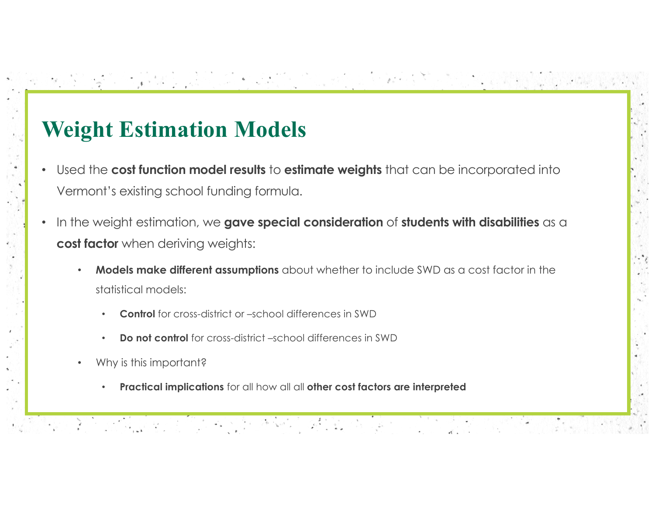# **Weight Estimation Models**

• Used the **cost function model results** to **estimate weights** that can be incorporated into Vermont's existing school funding formula.

- In the weight estimation, we **gave special consideration** of **students with disabilities** as a **cost factor** when deriving weights:
	- **Models make different assumptions** about whether to include SWD as a cost factor in the statistical models:
		- **Control** for cross-district or –school differences in SWD

1992년 2월 20일 1월 20일 1월 20일 1월 20일 1월 20일 1월 20일<br>1992년 1월 20일 1월 20일 1월 20일 1월 20일 1월 20일 1월 20일 1월 20일 1월 20일 1월 20일 1월 20일 1월 20일

- **Do not control** for cross-district –school differences in SWD
- Why is this important?
	- **Practical implications** for all how all all **other cost factors are interpreted**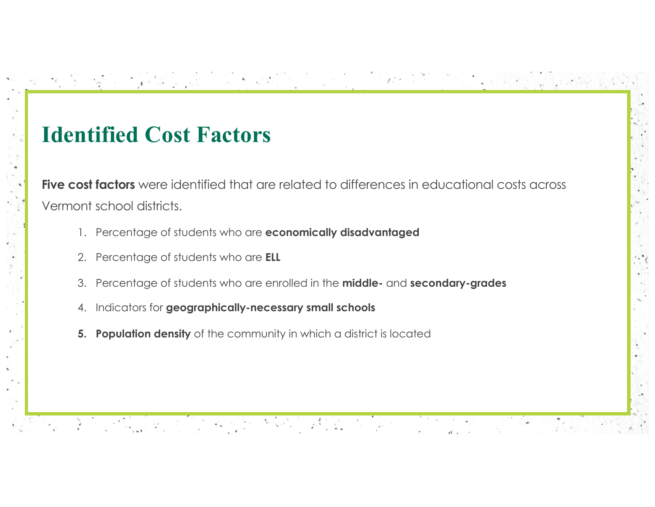### **Identified Cost Factors**

**Five cost factors** were identified that are related to differences in educational costs across Vermont school districts.

[1] 2011년 10일 : 10일 : 10일 : 10일 : 10월 10일 : 10월 10일 : 10월 10일

- 1. Percentage of students who are **economically disadvantaged**
- 2. Percentage of students who are **ELL**
- 3. Percentage of students who are enrolled in the **middle-** and **secondary-grades**
- 4. Indicators for **geographically-necessary small schools**

1993년 2월 2일 전 1993년 1994년 1995년 1997년 1998년 1998년 1998년 1999년 1999년 1999년 1999년 1999년 1999년 1999년 1999년 1999년<br>대한민국의 대한민국의 대한민국의 대한민국의 대한민국의 대한민국의 대한민국의 대한민국의 대한민국의 대한민국의 대한민국의 대한민국의 대한민국의 대한민국의 대한민국의 대한민국의 대한민국의 대한민국의 대

**5. Population density** of the community in which a district is located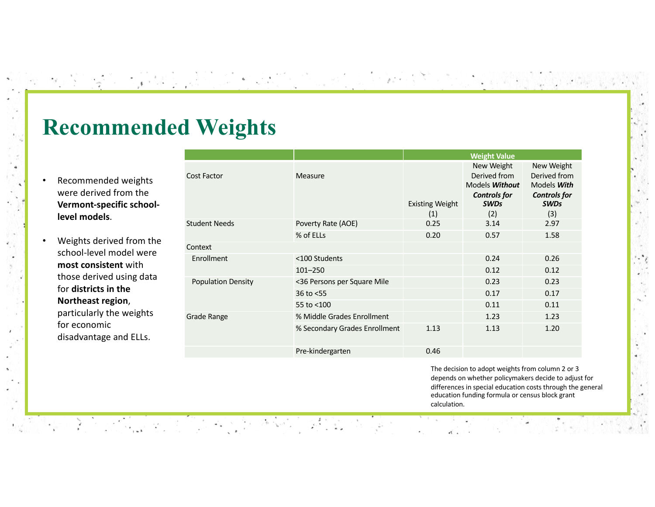### **Recommended Weights**

1999년 2월 24일 12월 24일 12월 24일 12월 24일 12월 24일 12월 24일 12월 24일 12월 24일 12월 24일 12월 24일 12월 24일 12월 24일<br>2010년 12월 22일 12월 22일 12월 22일 12월 22일 12월 22일 12월 22일 12월 22일 12월 22일 12월 22일 12월 12월 12월 12월 12월 12월 12월 12월

- Recommended weights were derived from the **Vermont-specific schoollevel models**.
- Weights derived from the school-level model were **most consistent** with those derived using data for **districts in the Northeast region**, particularly the weights for economic disadvantage and ELLs.

|                           |                               | <b>Weight Value</b>           |                                                                                                  |                                                                                               |
|---------------------------|-------------------------------|-------------------------------|--------------------------------------------------------------------------------------------------|-----------------------------------------------------------------------------------------------|
| Cost Factor               | Measure                       | <b>Existing Weight</b><br>(1) | New Weight<br>Derived from<br>Models <b>Without</b><br><b>Controls for</b><br><b>SWDs</b><br>(2) | New Weight<br>Derived from<br>Models <b>With</b><br><b>Controls for</b><br><b>SWDs</b><br>(3) |
| Student Needs             | Poverty Rate (AOE)            | 0.25                          | 3.14                                                                                             | 2.97                                                                                          |
|                           | % of ELLs                     | 0.20                          | 0.57                                                                                             | 1.58                                                                                          |
| Context                   |                               |                               |                                                                                                  |                                                                                               |
| Enrollment                | <100 Students                 |                               | 0.24                                                                                             | 0.26                                                                                          |
|                           | $101 - 250$                   |                               | 0.12                                                                                             | 0.12                                                                                          |
| <b>Population Density</b> | <36 Persons per Square Mile   |                               | 0.23                                                                                             | 0.23                                                                                          |
|                           | 36 to $<$ 55                  |                               | 0.17                                                                                             | 0.17                                                                                          |
|                           | 55 to <100                    |                               | 0.11                                                                                             | 0.11                                                                                          |
| Grade Range               | % Middle Grades Enrollment    |                               | 1.23                                                                                             | 1.23                                                                                          |
|                           | % Secondary Grades Enrollment | 1.13                          | 1.13                                                                                             | 1.20                                                                                          |
|                           | Pre-kindergarten              | 0.46                          |                                                                                                  |                                                                                               |
|                           |                               |                               |                                                                                                  |                                                                                               |

The decision to adopt weights from column 2 or 3 depends on whether policymakers decide to adjust for differences in special education costs through the general education funding formula or census block grant calculation.

스 - Top Andrew Mark 19, 19, 2011 : 12, 2011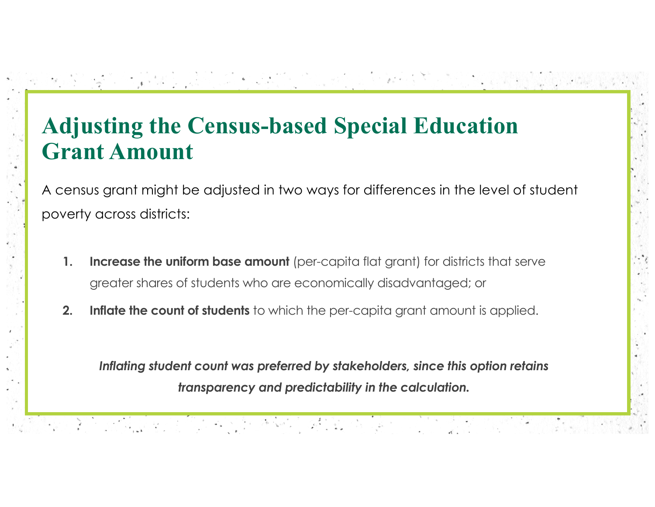# **Adjusting the Census-based Special Education Grant Amount**

A census grant might be adjusted in two ways for differences in the level of student poverty across districts:

**TANA PERSONAL MARKET** 

- **1. Increase the uniform base amount** (per-capita flat grant) for districts that serve greater shares of students who are economically disadvantaged; or
- **2. Inflate the count of students** to which the per-capita grant amount is applied.

1930년에 대한 1940년 전자 전자 전자에 2월 10일 10월

*Inflating student count was preferred by stakeholders, since this option retains transparency and predictability in the calculation.*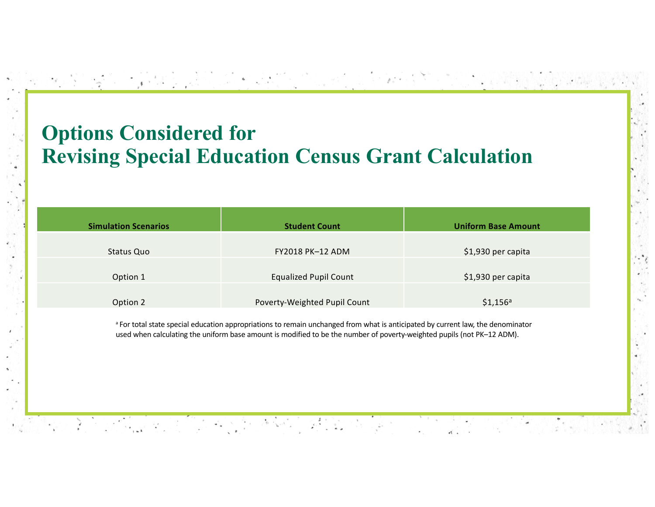#### **Options Considered for Revising Special Education Census Grant Calculation**

| <b>Simulation Scenarios</b> | <b>Student Count</b>         | <b>Uniform Base Amount</b> |
|-----------------------------|------------------------------|----------------------------|
|                             |                              |                            |
| Status Quo                  | <b>FY2018 PK-12 ADM</b>      | \$1,930 per capita         |
|                             |                              |                            |
| Option 1                    | <b>Equalized Pupil Count</b> | \$1,930 per capita         |
|                             |                              |                            |
| Option 2                    | Poverty-Weighted Pupil Count | $$1,156$ <sup>a</sup>      |

[이 2016 - To South Co. 2016] AS 12 2019 2019

<sup>a</sup> For total state special education appropriations to remain unchanged from what is anticipated by current law, the denominator used when calculating the uniform base amount is modified to be the number of poverty-weighted pupils (not PK–12 ADM).

<u> 대표를 하는 사람들은 아니다. 한자로 사용하는 사람의 사람들이 나서 있다.</u>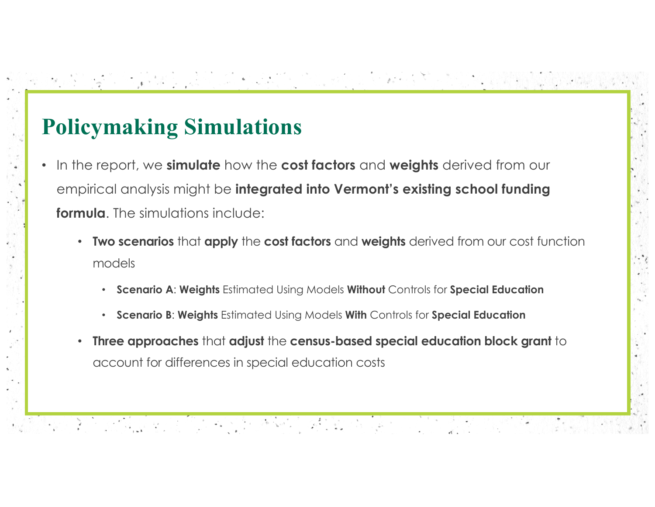# **Policymaking Simulations**

1992년 2012년 1월 1일 한 가장 10월 12일 2월 10일 12일

- In the report, we **simulate** how the **cost factors** and **weights** derived from our empirical analysis might be **integrated into Vermont's existing school funding formula**. The simulations include:
	- **Two scenarios** that **apply** the **cost factors** and **weights** derived from our cost function models

[이 2019 STEP TO HELP OF THE HELP REPLACE TO

- **Scenario A**: **Weights** Estimated Using Models **Without** Controls for **Special Education**
- **Scenario B**: **Weights** Estimated Using Models **With** Controls for **Special Education**
- **Three approaches** that **adjust** the **census-based special education block grant** to account for differences in special education costs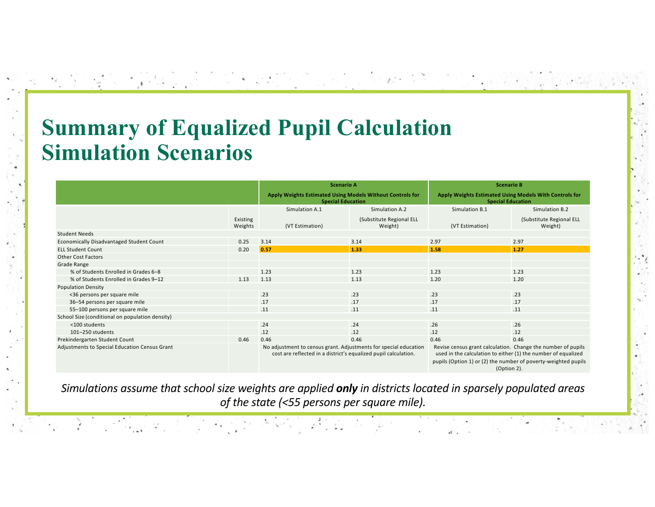### **Summary of Equalized Pupil Calculation Simulation Scenarios**

화장 전 그 사람, 사람의 인사는 것은 아직에 가지 않고 있다.

 $\Phi_{\alpha} = \frac{1}{2\pi}\sum_{\alpha} \frac{1}{\alpha} \sum_{\alpha} \frac{1}{\alpha} \frac{1}{\alpha} \sum_{\alpha} \frac{1}{\alpha} \frac{1}{\alpha} \frac{1}{\alpha} \frac{1}{\alpha} \frac{1}{\alpha} \frac{1}{\alpha} \frac{1}{\alpha} \frac{1}{\alpha} \frac{1}{\alpha} \frac{1}{\alpha} \frac{1}{\alpha} \frac{1}{\alpha} \frac{1}{\alpha} \frac{1}{\alpha} \frac{1}{\alpha} \frac{1}{\alpha} \frac{1}{\alpha} \frac{1}{\alpha} \frac{1}{\alpha} \frac{1}{\alpha} \frac{$ 

|                                                 |                     | <b>Scenario A</b>                                                                                                                                                                                                                                                                                                                      |                                     | <b>Scenario B</b>                                                                  |                                     |
|-------------------------------------------------|---------------------|----------------------------------------------------------------------------------------------------------------------------------------------------------------------------------------------------------------------------------------------------------------------------------------------------------------------------------------|-------------------------------------|------------------------------------------------------------------------------------|-------------------------------------|
|                                                 |                     | Apply Weights Estimated Using Models Without Controls for<br><b>Special Education</b>                                                                                                                                                                                                                                                  |                                     | Apply Weights Estimated Using Models With Controls for<br><b>Special Education</b> |                                     |
|                                                 |                     | Simulation A.1                                                                                                                                                                                                                                                                                                                         | Simulation A.2                      | Simulation B.1                                                                     | Simulation B.2                      |
|                                                 | Existing<br>Weights | (VT Estimation)                                                                                                                                                                                                                                                                                                                        | (Substitute Regional ELL<br>Weight) | (VT Estimation)                                                                    | (Substitute Regional ELL<br>Weight) |
| <b>Student Needs</b>                            |                     |                                                                                                                                                                                                                                                                                                                                        |                                     |                                                                                    |                                     |
| Economically Disadvantaged Student Count        | 0.25                | 3.14                                                                                                                                                                                                                                                                                                                                   | 3.14                                | 2.97                                                                               | 2.97                                |
| <b>ELL Student Count</b>                        | 0.20                | 0.57                                                                                                                                                                                                                                                                                                                                   | 1.33                                | 1.58                                                                               | $1.27$                              |
| <b>Other Cost Factors</b>                       |                     |                                                                                                                                                                                                                                                                                                                                        |                                     |                                                                                    |                                     |
| Grade Range                                     |                     |                                                                                                                                                                                                                                                                                                                                        |                                     |                                                                                    |                                     |
| % of Students Enrolled in Grades 6-8            |                     | 1.23                                                                                                                                                                                                                                                                                                                                   | 1.23                                | 1.23                                                                               | 1.23                                |
| % of Students Enrolled in Grades 9-12           | 1.13                | 1.13                                                                                                                                                                                                                                                                                                                                   | 1.13                                | 1.20                                                                               | 1.20                                |
| <b>Population Density</b>                       |                     |                                                                                                                                                                                                                                                                                                                                        |                                     |                                                                                    |                                     |
| <36 persons per square mile                     |                     | .23                                                                                                                                                                                                                                                                                                                                    | .23                                 | .23                                                                                | .23                                 |
| 36-54 persons per square mile                   |                     | .17                                                                                                                                                                                                                                                                                                                                    | .17                                 | .17                                                                                | .17                                 |
| 55-100 persons per square mile                  |                     | .11                                                                                                                                                                                                                                                                                                                                    | .11                                 | .11                                                                                | .11                                 |
| School Size (conditional on population density) |                     |                                                                                                                                                                                                                                                                                                                                        |                                     |                                                                                    |                                     |
| <100 students                                   |                     | .24                                                                                                                                                                                                                                                                                                                                    | .24                                 | .26                                                                                | .26                                 |
| 101-250 students                                |                     | .12                                                                                                                                                                                                                                                                                                                                    | .12                                 | .12                                                                                | .12                                 |
| Prekindergarten Student Count                   | 0.46                | 0.46                                                                                                                                                                                                                                                                                                                                   | 0.46                                | 0.46                                                                               | 0.46                                |
| Adjustments to Special Education Census Grant   |                     | Revise census grant calculation. Change the number of pupils<br>No adjustment to census grant. Adjustments for special education<br>used in the calculation to either (1) the number of equalized<br>cost are reflected in a district's equalized pupil calculation.<br>pupils (Option 1) or (2) the number of poverty-weighted pupils |                                     |                                                                                    |                                     |

(Option 2).

*Simulations assume that school size weights are applied only in districts located in sparsely populated areas of the state (<55 persons per square mile).*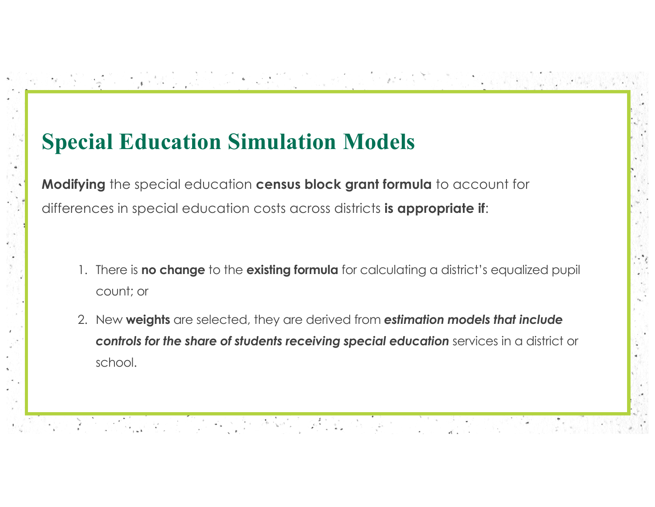# **Special Education Simulation Models**

화장 잘 그렇게 나는 그 인터는 다른 동생이 오지 사는 다른다.

**Modifying** the special education **census block grant formula** to account for differences in special education costs across districts **is appropriate if**:

1. There is **no change** to the **existing formula** for calculating a district's equalized pupil count; or

[이 2019 STEP TO HELP OF A 2019 AND A 2019 AND A

2. New **weights** are selected, they are derived from *estimation models that include controls for the share of students receiving special education* services in a district or school.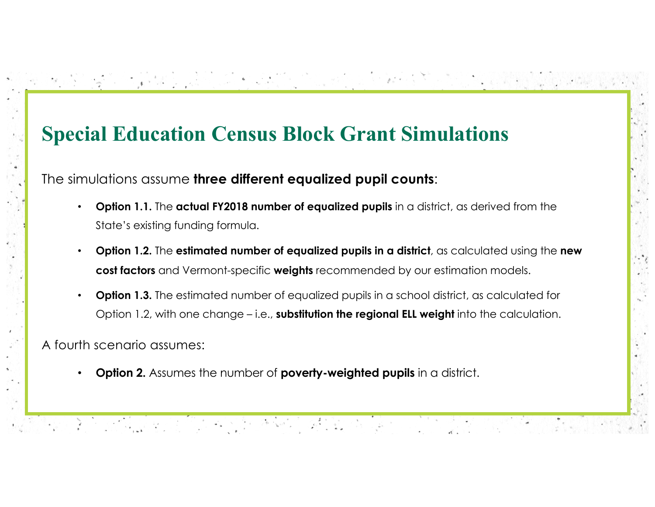#### **Special Education Census Block Grant Simulations**

The simulations assume **three different equalized pupil counts**:

- **Option 1.1.** The **actual FY2018 number of equalized pupils** in a district, as derived from the State's existing funding formula.
- **Option 1.2.** The **estimated number of equalized pupils in a district**, as calculated using the **new cost factors** and Vermont-specific **weights** recommended by our estimation models.
- **Option 1.3.** The estimated number of equalized pupils in a school district, as calculated for Option 1.2, with one change – i.e., **substitution the regional ELL weight** into the calculation.

A fourth scenario assumes:

• **Option 2.** Assumes the number of **poverty-weighted pupils** in a district.

[2011] 2011 [1] 19:11 (1) 19:11 [1] 19:11 [1] 12:11 [1] 12:11 [1] 12:11 [1] 12:11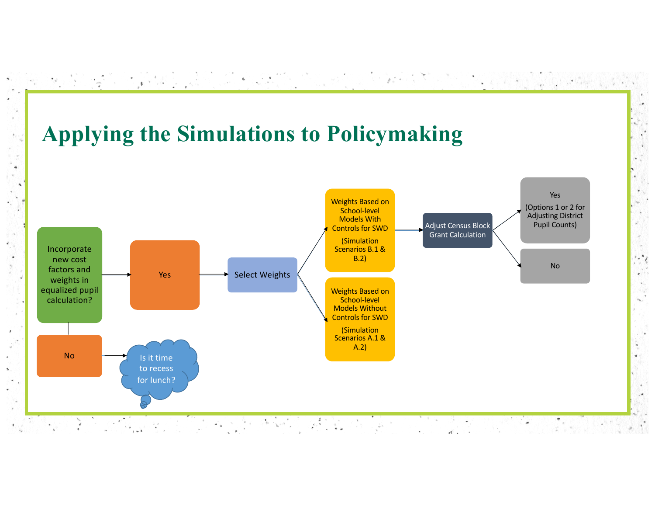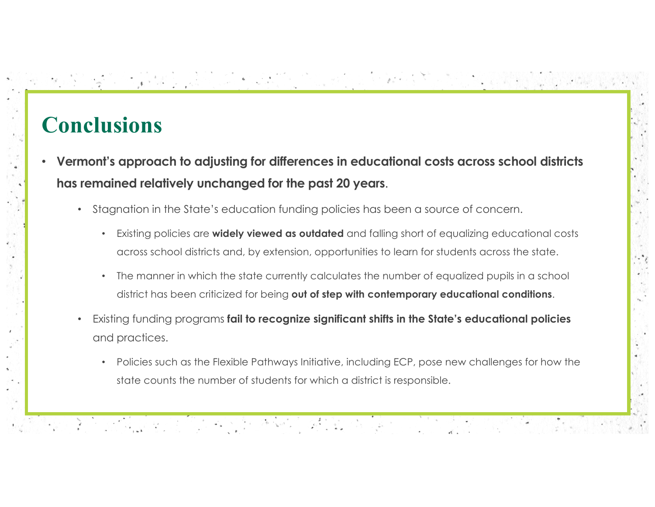### **Conclusions**

- **Vermont's approach to adjusting for differences in educational costs across school districts has remained relatively unchanged for the past 20 years**.
	- Stagnation in the State's education funding policies has been a source of concern.

• Existing policies are **widely viewed as outdated** and falling short of equalizing educational costs across school districts and, by extension, opportunities to learn for students across the state.

가 나는 아직 아이들이 아주 가게 있었어요?

- The manner in which the state currently calculates the number of equalized pupils in a school district has been criticized for being **out of step with contemporary educational conditions**.
- Existing funding programs **fail to recognize significant shifts in the State's educational policies**  and practices.
	- Policies such as the Flexible Pathways Initiative, including ECP, pose new challenges for how the state counts the number of students for which a district is responsible.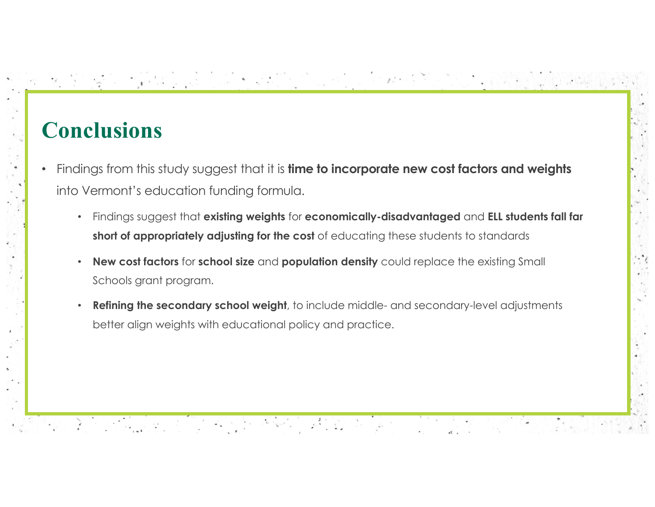### **Conclusions**

- Findings from this study suggest that it is **time to incorporate new cost factors and weights**  into Vermont's education funding formula.
	- Findings suggest that **existing weights** for **economically-disadvantaged** and **ELL students fall far**  short of appropriately adjusting for the cost of educating these students to standards

An Windows 2019 10:00:00 20:00:00 20:00:00 20:00

- **New cost factors** for **school size** and **population density** could replace the existing Small Schools grant program.
- **Refining the secondary school weight**, to include middle- and secondary-level adjustments better align weights with educational policy and practice.

1992년 2019년 1월 1일 - 인기 - 인기 - 조사이 오른 사고 있습니다